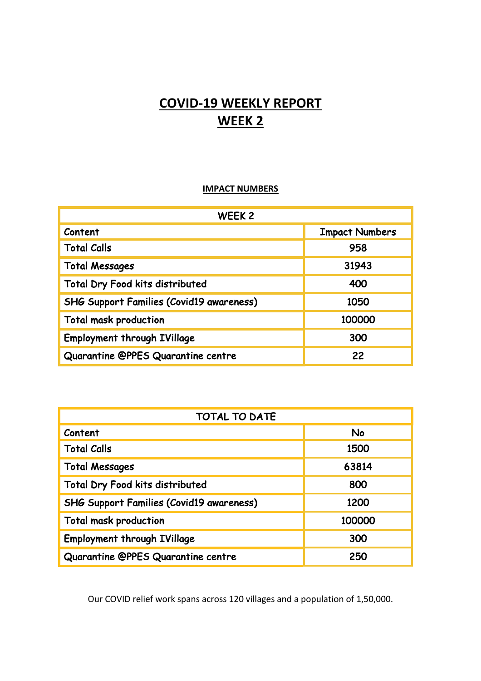## **COVID-19 WEEKLY REPORT WEEK 2**

## **IMPACT NUMBERS**

| WEEK 2                                          |                       |
|-------------------------------------------------|-----------------------|
| Content                                         | <b>Impact Numbers</b> |
| <b>Total Calls</b>                              | 958                   |
| <b>Total Messages</b>                           | 31943                 |
| <b>Total Dry Food kits distributed</b>          | 400                   |
| <b>SHG Support Families (Covid19 awareness)</b> | 1050                  |
| <b>Total mask production</b>                    | 100000                |
| <b>Employment through IVillage</b>              | 300                   |
| Quarantine @PPES Quarantine centre              | 22                    |

| <b>TOTAL TO DATE</b>                            |        |
|-------------------------------------------------|--------|
| Content                                         | No     |
| <b>Total Calls</b>                              | 1500   |
| <b>Total Messages</b>                           | 63814  |
| <b>Total Dry Food kits distributed</b>          | 800    |
| <b>SHG Support Families (Covid19 awareness)</b> | 1200   |
| <b>Total mask production</b>                    | 100000 |
| <b>Employment through IVillage</b>              | 300    |
| Quarantine @PPES Quarantine centre              | 250    |

Our COVID relief work spans across 120 villages and a population of 1,50,000.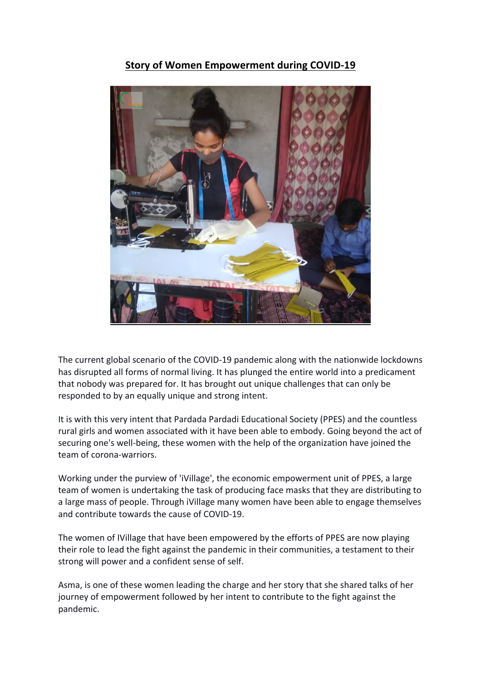## **Story of Women Empowerment during COVID-19**



The current global scenario of the COVID-19 pandemic along with the nationwide lockdowns has disrupted all forms of normal living. It has plunged the entire world into a predicament that nobody was prepared for. It has brought out unique challenges that can only be responded to by an equally unique and strong intent.

It is with this very intent that Pardada Pardadi Educational Society (PPES) and the countless rural girls and women associated with it have been able to embody. Going beyond the act of securing one's well-being, these women with the help of the organization have joined the team of corona-warriors.

Working under the purview of 'iVillage', the economic empowerment unit of PPES, a large team of women is undertaking the task of producing face masks that they are distributing to a large mass of people. Through iVillage many women have been able to engage themselves and contribute towards the cause of COVID-19.

The women of IVillage that have been empowered by the efforts of PPES are now playing their role to lead the fight against the pandemic in their communities, a testament to their strong will power and a confident sense of self.

Asma, is one of these women leading the charge and her story that she shared talks of her journey of empowerment followed by her intent to contribute to the fight against the pandemic.